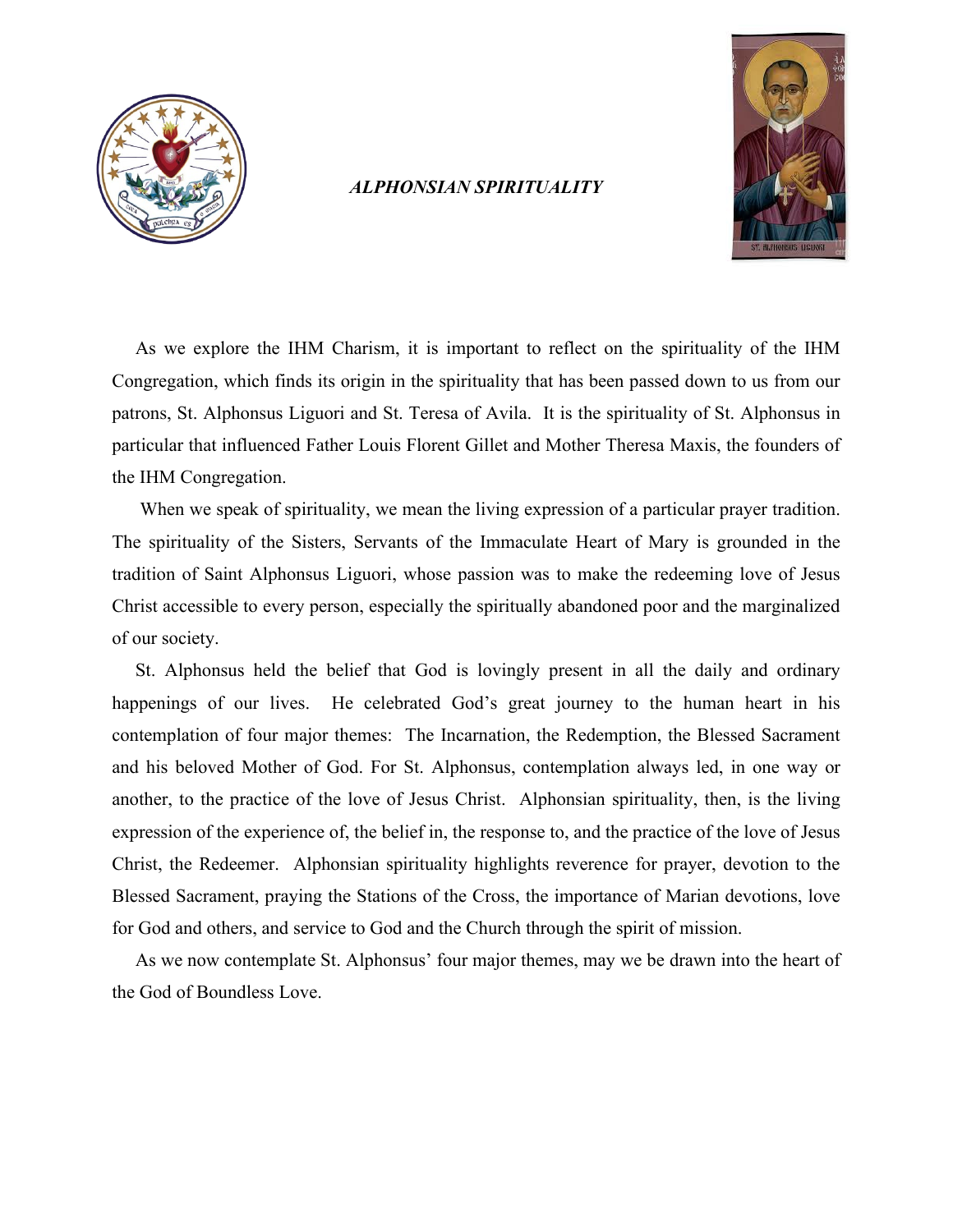

## *ALPHONSIAN SPIRITUALITY*



As we explore the IHM Charism, it is important to reflect on the spirituality of the IHM Congregation, which finds its origin in the spirituality that has been passed down to us from our patrons, St. Alphonsus Liguori and St. Teresa of Avila. It is the spirituality of St. Alphonsus in particular that influenced Father Louis Florent Gillet and Mother Theresa Maxis, the founders of the IHM Congregation.

 When we speak of spirituality, we mean the living expression of a particular prayer tradition. The spirituality of the Sisters, Servants of the Immaculate Heart of Mary is grounded in the tradition of Saint Alphonsus Liguori, whose passion was to make the redeeming love of Jesus Christ accessible to every person, especially the spiritually abandoned poor and the marginalized of our society.

 St. Alphonsus held the belief that God is lovingly present in all the daily and ordinary happenings of our lives. He celebrated God's great journey to the human heart in his contemplation of four major themes: The Incarnation, the Redemption, the Blessed Sacrament and his beloved Mother of God. For St. Alphonsus, contemplation always led, in one way or another, to the practice of the love of Jesus Christ. Alphonsian spirituality, then, is the living expression of the experience of, the belief in, the response to, and the practice of the love of Jesus Christ, the Redeemer. Alphonsian spirituality highlights reverence for prayer, devotion to the Blessed Sacrament, praying the Stations of the Cross, the importance of Marian devotions, love for God and others, and service to God and the Church through the spirit of mission.

 As we now contemplate St. Alphonsus' four major themes, may we be drawn into the heart of the God of Boundless Love.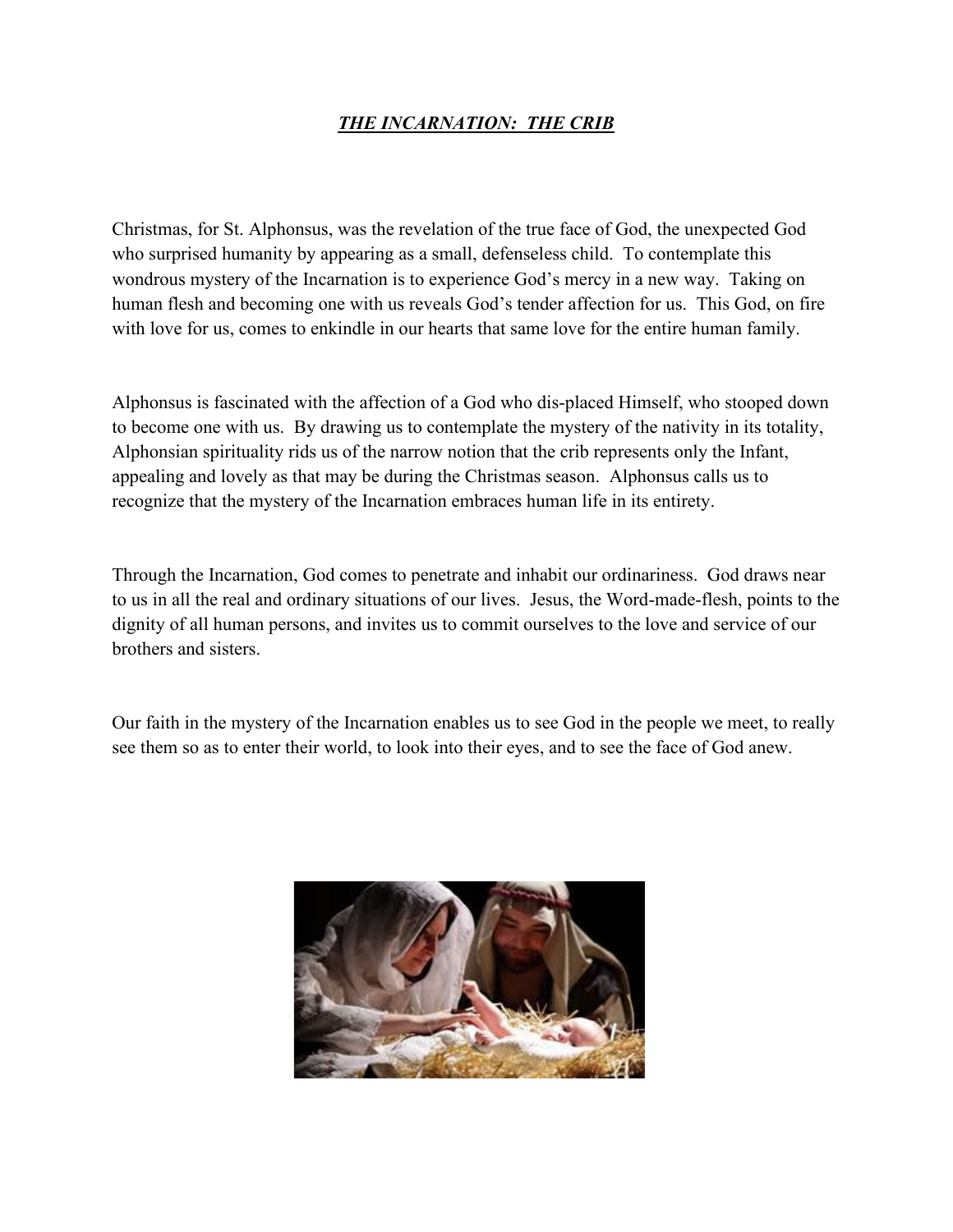# *THE INCARNATION: THE CRIB*

Christmas, for St. Alphonsus, was the revelation of the true face of God, the unexpected God who surprised humanity by appearing as a small, defenseless child. To contemplate this wondrous mystery of the Incarnation is to experience God's mercy in a new way. Taking on human flesh and becoming one with us reveals God's tender affection for us. This God, on fire with love for us, comes to enkindle in our hearts that same love for the entire human family.

Alphonsus is fascinated with the affection of a God who dis-placed Himself, who stooped down to become one with us. By drawing us to contemplate the mystery of the nativity in its totality, Alphonsian spirituality rids us of the narrow notion that the crib represents only the Infant, appealing and lovely as that may be during the Christmas season. Alphonsus calls us to recognize that the mystery of the Incarnation embraces human life in its entirety.

Through the Incarnation, God comes to penetrate and inhabit our ordinariness. God draws near to us in all the real and ordinary situations of our lives. Jesus, the Word-made-flesh, points to the dignity of all human persons, and invites us to commit ourselves to the love and service of our brothers and sisters.

Our faith in the mystery of the Incarnation enables us to see God in the people we meet, to really see them so as to enter their world, to look into their eyes, and to see the face of God anew.

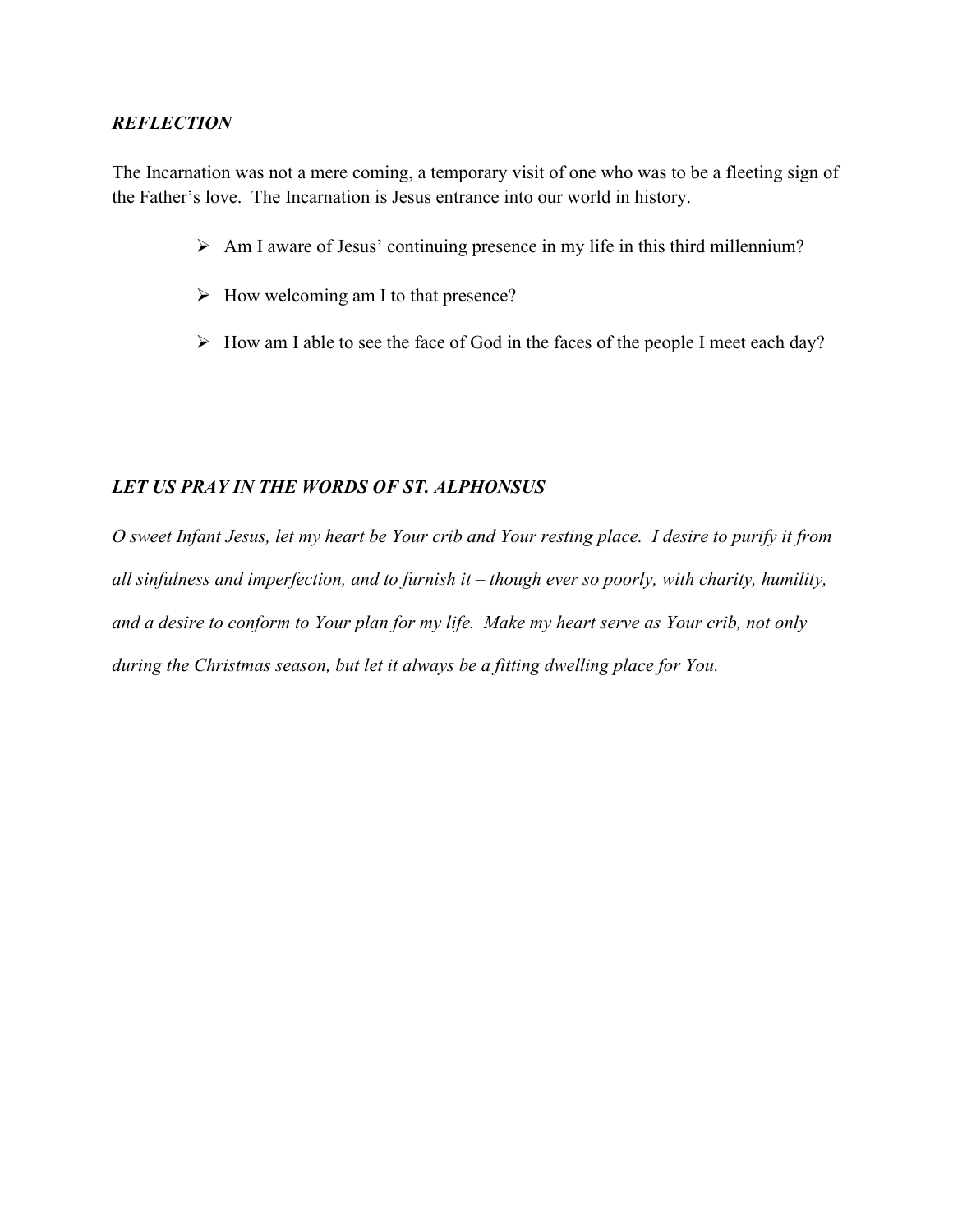The Incarnation was not a mere coming, a temporary visit of one who was to be a fleeting sign of the Father's love. The Incarnation is Jesus entrance into our world in history.

- $\triangleright$  Am I aware of Jesus' continuing presence in my life in this third millennium?
- $\triangleright$  How welcoming am I to that presence?
- $\triangleright$  How am I able to see the face of God in the faces of the people I meet each day?

# *LET US PRAY IN THE WORDS OF ST. ALPHONSUS*

*O sweet Infant Jesus, let my heart be Your crib and Your resting place. I desire to purify it from all sinfulness and imperfection, and to furnish it – though ever so poorly, with charity, humility, and a desire to conform to Your plan for my life. Make my heart serve as Your crib, not only during the Christmas season, but let it always be a fitting dwelling place for You.*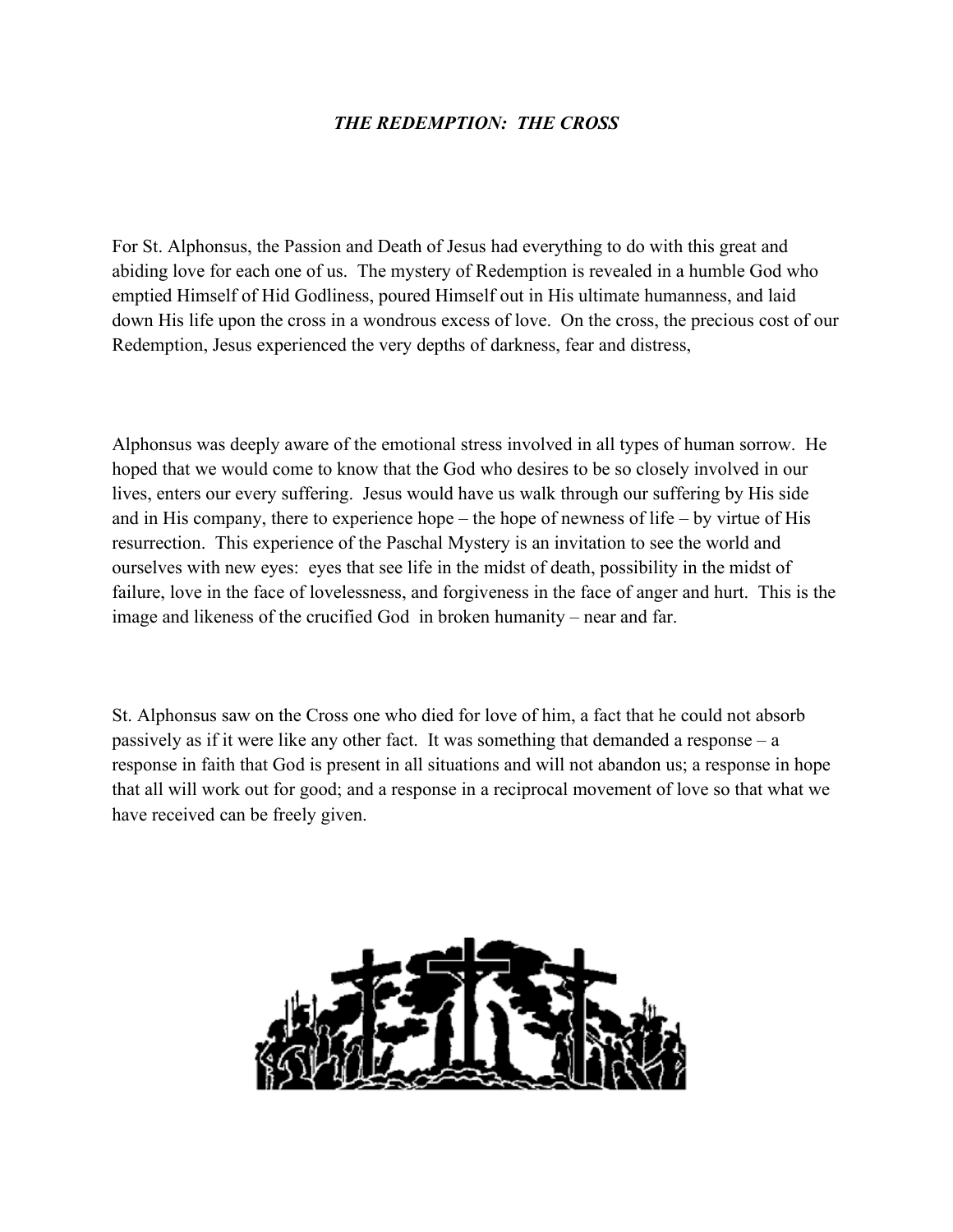## *THE REDEMPTION: THE CROSS*

For St. Alphonsus, the Passion and Death of Jesus had everything to do with this great and abiding love for each one of us. The mystery of Redemption is revealed in a humble God who emptied Himself of Hid Godliness, poured Himself out in His ultimate humanness, and laid down His life upon the cross in a wondrous excess of love. On the cross, the precious cost of our Redemption, Jesus experienced the very depths of darkness, fear and distress,

Alphonsus was deeply aware of the emotional stress involved in all types of human sorrow. He hoped that we would come to know that the God who desires to be so closely involved in our lives, enters our every suffering. Jesus would have us walk through our suffering by His side and in His company, there to experience hope – the hope of newness of life – by virtue of His resurrection. This experience of the Paschal Mystery is an invitation to see the world and ourselves with new eyes: eyes that see life in the midst of death, possibility in the midst of failure, love in the face of lovelessness, and forgiveness in the face of anger and hurt. This is the image and likeness of the crucified God in broken humanity – near and far.

St. Alphonsus saw on the Cross one who died for love of him, a fact that he could not absorb passively as if it were like any other fact. It was something that demanded a response – a response in faith that God is present in all situations and will not abandon us; a response in hope that all will work out for good; and a response in a reciprocal movement of love so that what we have received can be freely given.

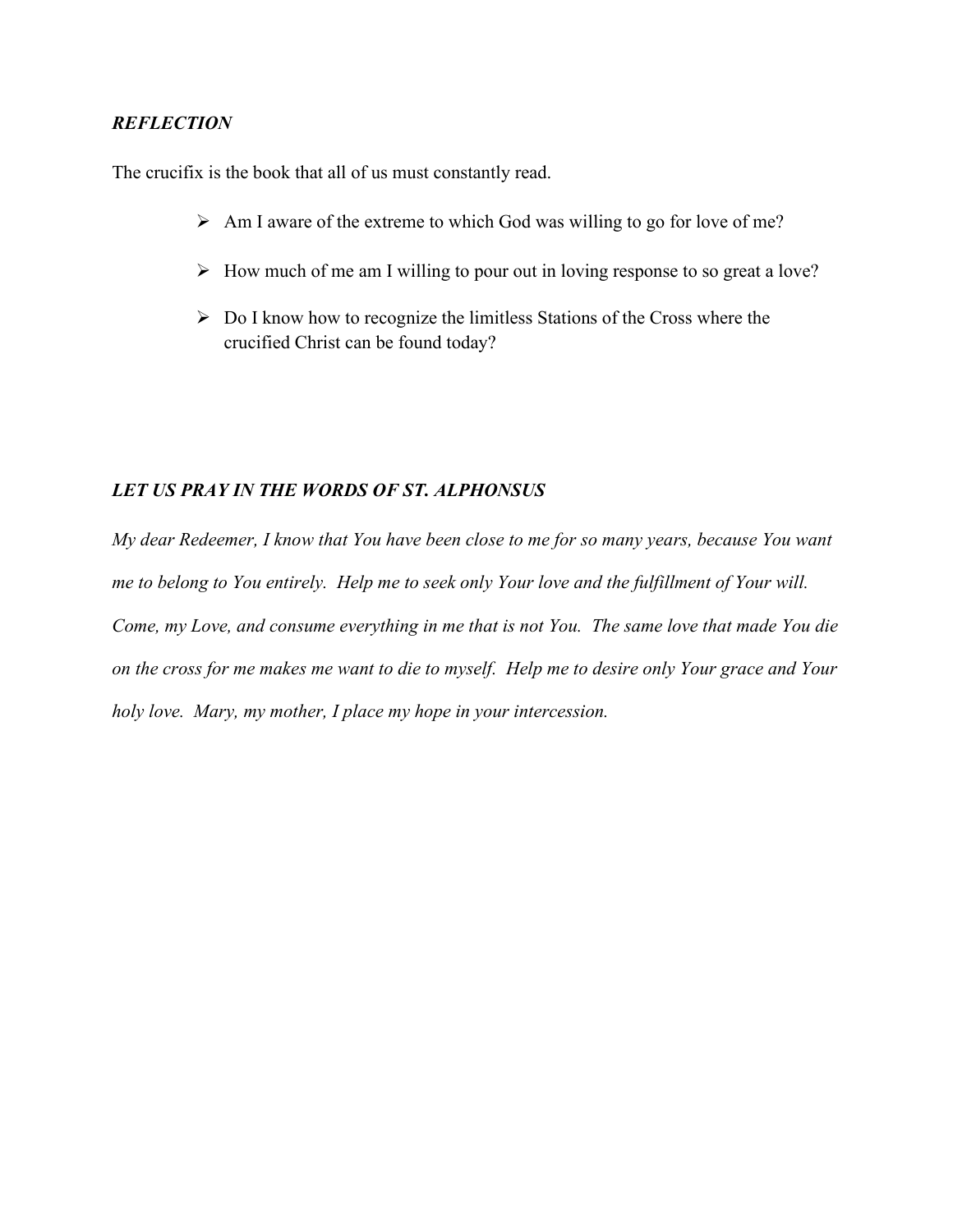The crucifix is the book that all of us must constantly read.

- $\triangleright$  Am I aware of the extreme to which God was willing to go for love of me?
- $\triangleright$  How much of me am I willing to pour out in loving response to so great a love?
- $\triangleright$  Do I know how to recognize the limitless Stations of the Cross where the crucified Christ can be found today?

#### *LET US PRAY IN THE WORDS OF ST. ALPHONSUS*

*My dear Redeemer, I know that You have been close to me for so many years, because You want me to belong to You entirely. Help me to seek only Your love and the fulfillment of Your will. Come, my Love, and consume everything in me that is not You. The same love that made You die on the cross for me makes me want to die to myself. Help me to desire only Your grace and Your holy love. Mary, my mother, I place my hope in your intercession.*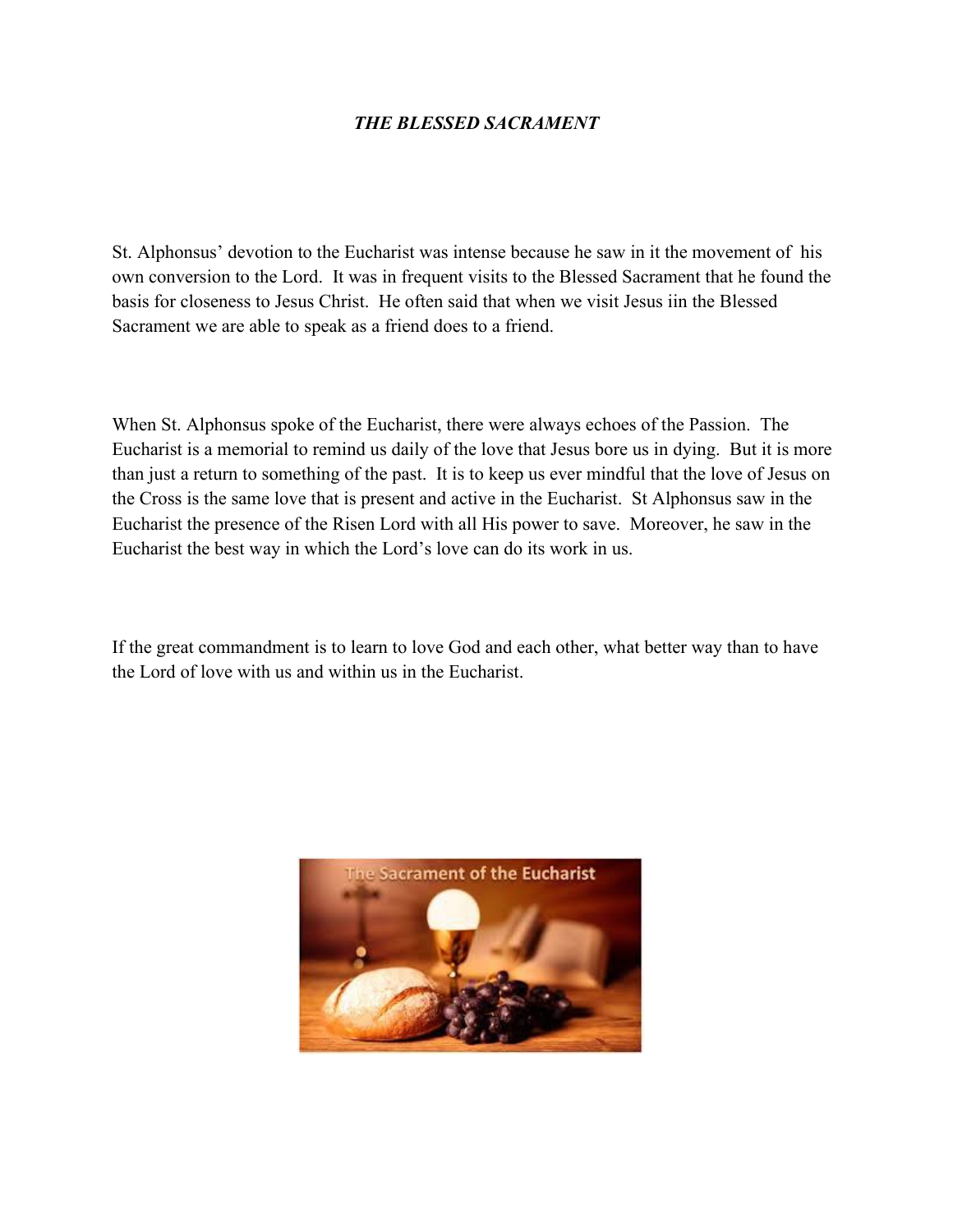## *THE BLESSED SACRAMENT*

St. Alphonsus' devotion to the Eucharist was intense because he saw in it the movement of his own conversion to the Lord. It was in frequent visits to the Blessed Sacrament that he found the basis for closeness to Jesus Christ. He often said that when we visit Jesus iin the Blessed Sacrament we are able to speak as a friend does to a friend.

When St. Alphonsus spoke of the Eucharist, there were always echoes of the Passion. The Eucharist is a memorial to remind us daily of the love that Jesus bore us in dying. But it is more than just a return to something of the past. It is to keep us ever mindful that the love of Jesus on the Cross is the same love that is present and active in the Eucharist. St Alphonsus saw in the Eucharist the presence of the Risen Lord with all His power to save. Moreover, he saw in the Eucharist the best way in which the Lord's love can do its work in us.

If the great commandment is to learn to love God and each other, what better way than to have the Lord of love with us and within us in the Eucharist.

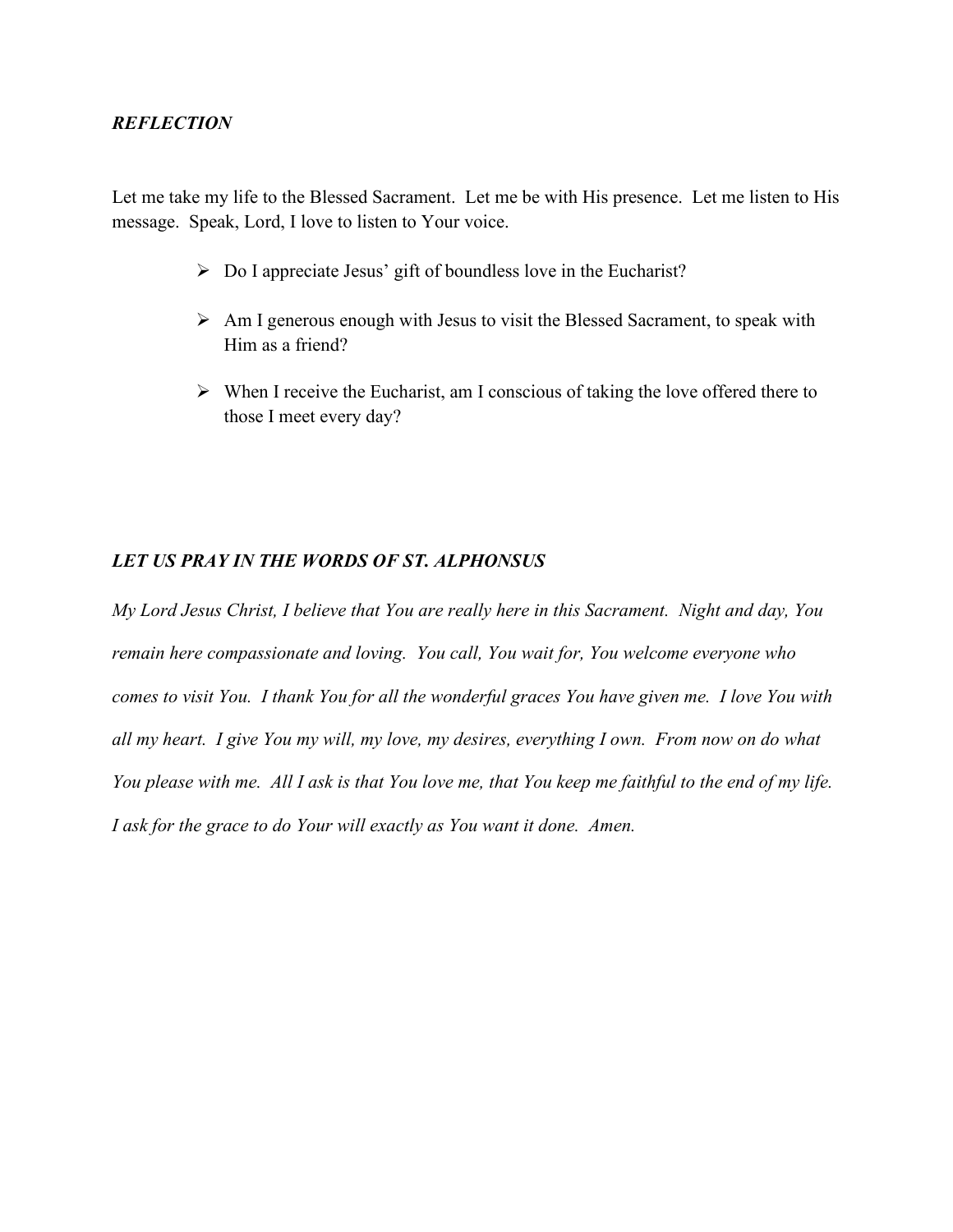Let me take my life to the Blessed Sacrament. Let me be with His presence. Let me listen to His message. Speak, Lord, I love to listen to Your voice.

- $\triangleright$  Do I appreciate Jesus' gift of boundless love in the Eucharist?
- $\triangleright$  Am I generous enough with Jesus to visit the Blessed Sacrament, to speak with Him as a friend?
- $\triangleright$  When I receive the Eucharist, am I conscious of taking the love offered there to those I meet every day?

### *LET US PRAY IN THE WORDS OF ST. ALPHONSUS*

*My Lord Jesus Christ, I believe that You are really here in this Sacrament. Night and day, You remain here compassionate and loving. You call, You wait for, You welcome everyone who comes to visit You. I thank You for all the wonderful graces You have given me. I love You with all my heart. I give You my will, my love, my desires, everything I own. From now on do what You please with me. All I ask is that You love me, that You keep me faithful to the end of my life. I ask for the grace to do Your will exactly as You want it done. Amen.*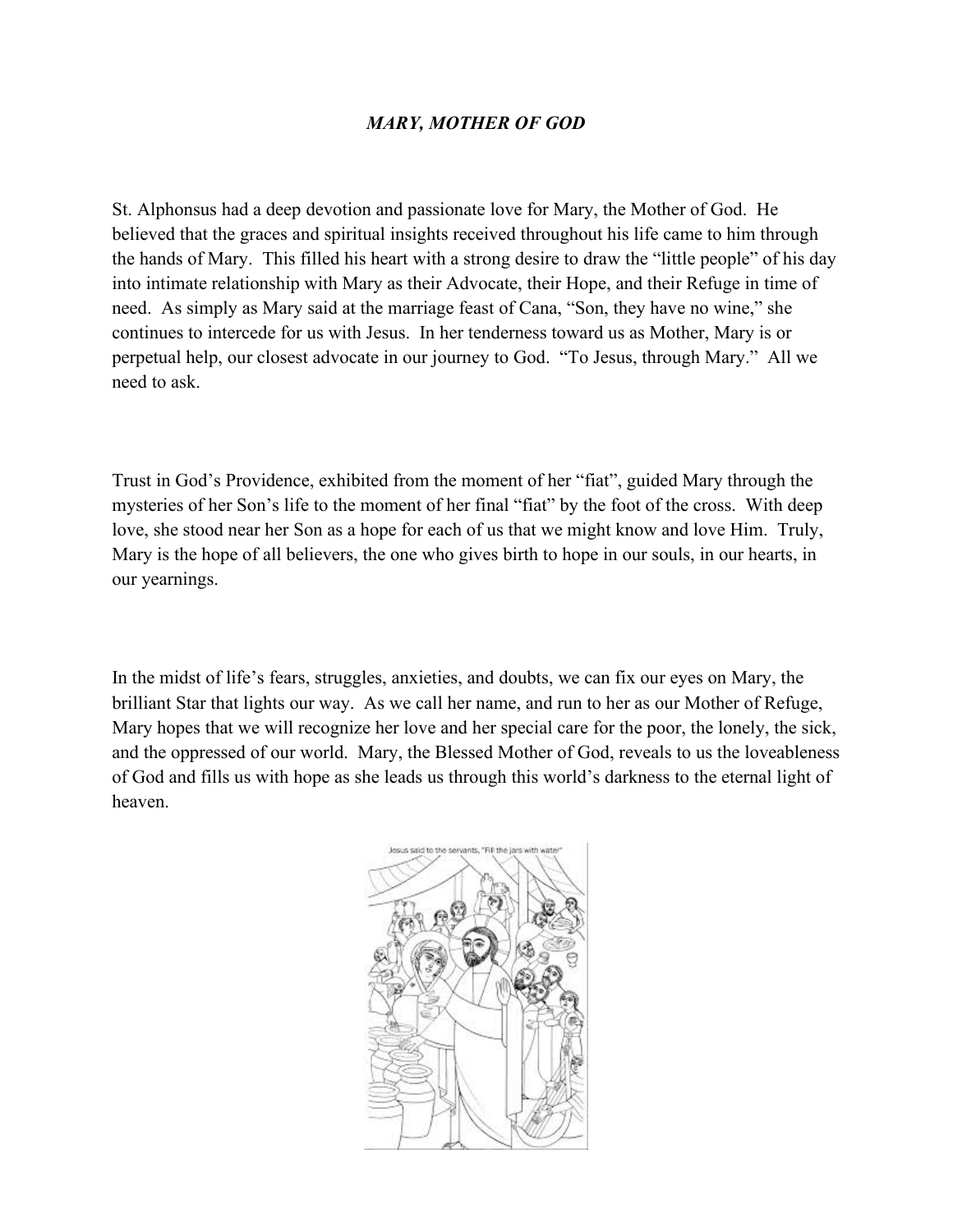## *MARY, MOTHER OF GOD*

St. Alphonsus had a deep devotion and passionate love for Mary, the Mother of God. He believed that the graces and spiritual insights received throughout his life came to him through the hands of Mary. This filled his heart with a strong desire to draw the "little people" of his day into intimate relationship with Mary as their Advocate, their Hope, and their Refuge in time of need. As simply as Mary said at the marriage feast of Cana, "Son, they have no wine," she continues to intercede for us with Jesus. In her tenderness toward us as Mother, Mary is or perpetual help, our closest advocate in our journey to God. "To Jesus, through Mary." All we need to ask.

Trust in God's Providence, exhibited from the moment of her "fiat", guided Mary through the mysteries of her Son's life to the moment of her final "fiat" by the foot of the cross. With deep love, she stood near her Son as a hope for each of us that we might know and love Him. Truly, Mary is the hope of all believers, the one who gives birth to hope in our souls, in our hearts, in our yearnings.

In the midst of life's fears, struggles, anxieties, and doubts, we can fix our eyes on Mary, the brilliant Star that lights our way. As we call her name, and run to her as our Mother of Refuge, Mary hopes that we will recognize her love and her special care for the poor, the lonely, the sick, and the oppressed of our world. Mary, the Blessed Mother of God, reveals to us the loveableness of God and fills us with hope as she leads us through this world's darkness to the eternal light of heaven.

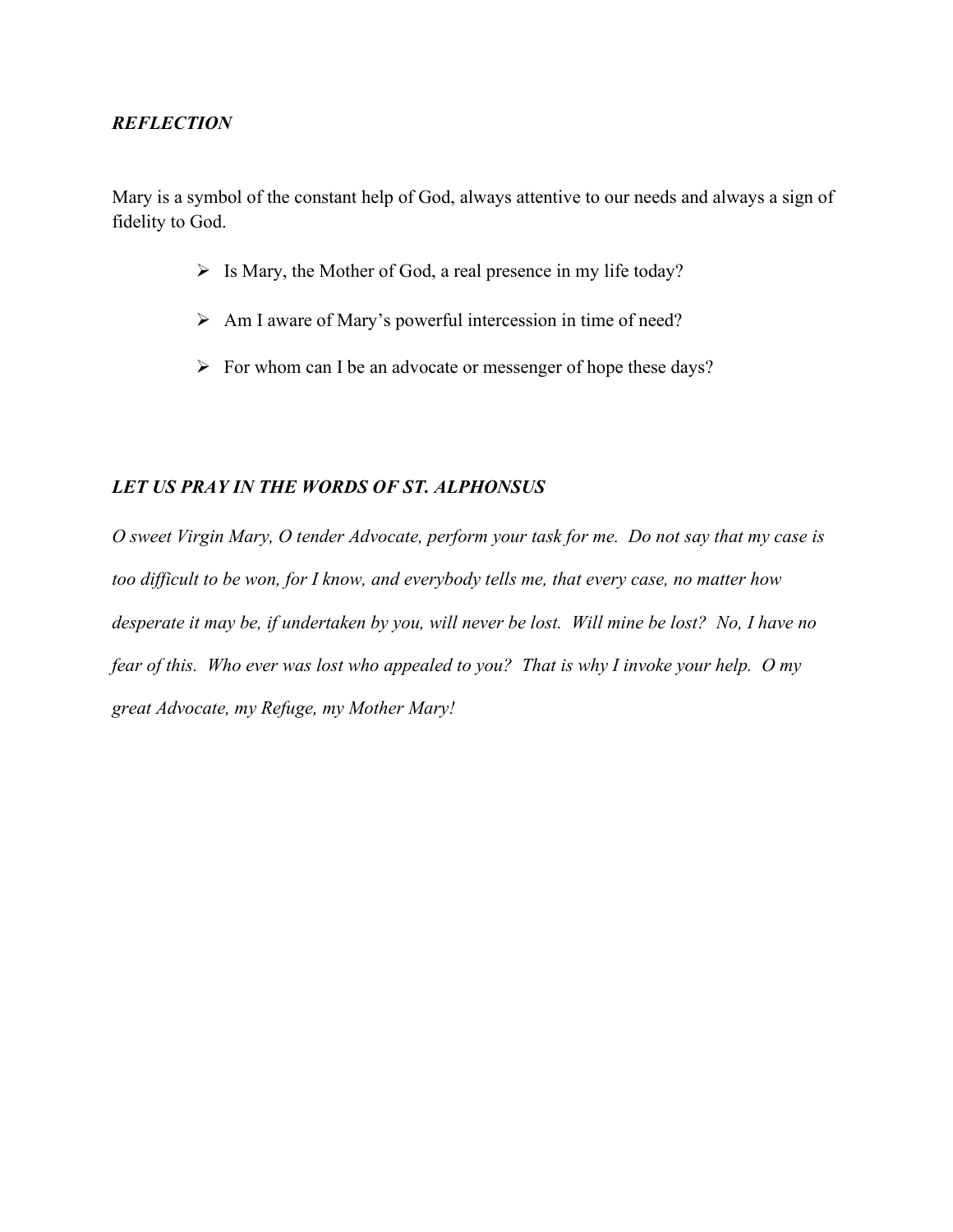Mary is a symbol of the constant help of God, always attentive to our needs and always a sign of fidelity to God.

- $\triangleright$  Is Mary, the Mother of God, a real presence in my life today?
- $\triangleright$  Am I aware of Mary's powerful intercession in time of need?
- $\triangleright$  For whom can I be an advocate or messenger of hope these days?

### *LET US PRAY IN THE WORDS OF ST. ALPHONSUS*

*O sweet Virgin Mary, O tender Advocate, perform your task for me. Do not say that my case is too difficult to be won, for I know, and everybody tells me, that every case, no matter how desperate it may be, if undertaken by you, will never be lost. Will mine be lost? No, I have no fear of this. Who ever was lost who appealed to you? That is why I invoke your help. O my great Advocate, my Refuge, my Mother Mary!*